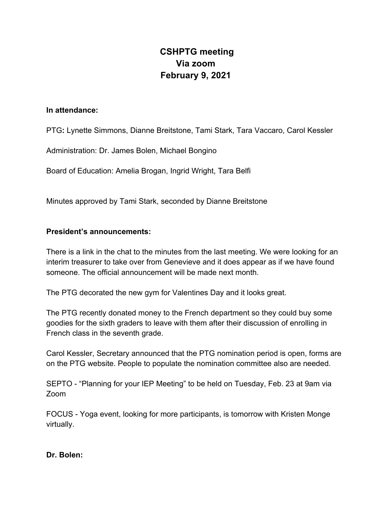# **CSHPTG meeting Via zoom February 9, 2021**

### **In attendance:**

PTG**:** Lynette Simmons, Dianne Breitstone, Tami Stark, Tara Vaccaro, Carol Kessler

Administration: Dr. James Bolen, Michael Bongino

Board of Education: Amelia Brogan, Ingrid Wright, Tara Belfi

Minutes approved by Tami Stark, seconded by Dianne Breitstone

### **President's announcements:**

There is a link in the chat to the minutes from the last meeting. We were looking for an interim treasurer to take over from Genevieve and it does appear as if we have found someone. The official announcement will be made next month.

The PTG decorated the new gym for Valentines Day and it looks great.

The PTG recently donated money to the French department so they could buy some goodies for the sixth graders to leave with them after their discussion of enrolling in French class in the seventh grade.

Carol Kessler, Secretary announced that the PTG nomination period is open, forms are on the PTG website. People to populate the nomination committee also are needed.

SEPTO - "Planning for your IEP Meeting" to be held on Tuesday, Feb. 23 at 9am via Zoom

FOCUS - Yoga event, looking for more participants, is tomorrow with Kristen Monge virtually.

### **Dr. Bolen:**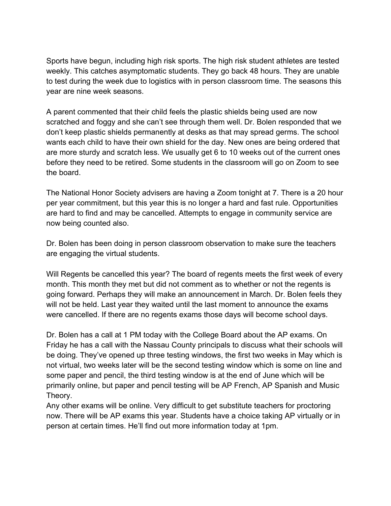Sports have begun, including high risk sports. The high risk student athletes are tested weekly. This catches asymptomatic students. They go back 48 hours. They are unable to test during the week due to logistics with in person classroom time. The seasons this year are nine week seasons.

A parent commented that their child feels the plastic shields being used are now scratched and foggy and she can't see through them well. Dr. Bolen responded that we don't keep plastic shields permanently at desks as that may spread germs. The school wants each child to have their own shield for the day. New ones are being ordered that are more sturdy and scratch less. We usually get 6 to 10 weeks out of the current ones before they need to be retired. Some students in the classroom will go on Zoom to see the board.

The National Honor Society advisers are having a Zoom tonight at 7. There is a 20 hour per year commitment, but this year this is no longer a hard and fast rule. Opportunities are hard to find and may be cancelled. Attempts to engage in community service are now being counted also.

Dr. Bolen has been doing in person classroom observation to make sure the teachers are engaging the virtual students.

Will Regents be cancelled this year? The board of regents meets the first week of every month. This month they met but did not comment as to whether or not the regents is going forward. Perhaps they will make an announcement in March. Dr. Bolen feels they will not be held. Last year they waited until the last moment to announce the exams were cancelled. If there are no regents exams those days will become school days.

Dr. Bolen has a call at 1 PM today with the College Board about the AP exams. On Friday he has a call with the Nassau County principals to discuss what their schools will be doing. They've opened up three testing windows, the first two weeks in May which is not virtual, two weeks later will be the second testing window which is some on line and some paper and pencil, the third testing window is at the end of June which will be primarily online, but paper and pencil testing will be AP French, AP Spanish and Music Theory.

Any other exams will be online. Very difficult to get substitute teachers for proctoring now. There will be AP exams this year. Students have a choice taking AP virtually or in person at certain times. He'll find out more information today at 1pm.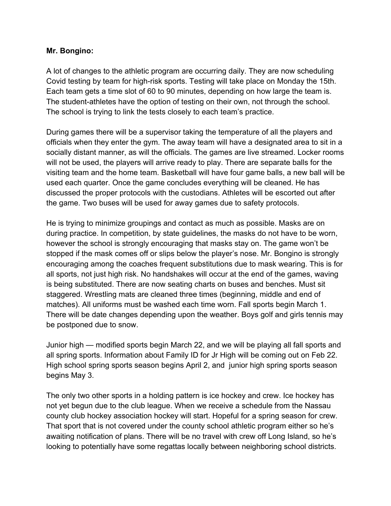## **Mr. Bongino:**

A lot of changes to the athletic program are occurring daily. They are now scheduling Covid testing by team for high-risk sports. Testing will take place on Monday the 15th. Each team gets a time slot of 60 to 90 minutes, depending on how large the team is. The student-athletes have the option of testing on their own, not through the school. The school is trying to link the tests closely to each team's practice.

During games there will be a supervisor taking the temperature of all the players and officials when they enter the gym. The away team will have a designated area to sit in a socially distant manner, as will the officials. The games are live streamed. Locker rooms will not be used, the players will arrive ready to play. There are separate balls for the visiting team and the home team. Basketball will have four game balls, a new ball will be used each quarter. Once the game concludes everything will be cleaned. He has discussed the proper protocols with the custodians. Athletes will be escorted out after the game. Two buses will be used for away games due to safety protocols.

He is trying to minimize groupings and contact as much as possible. Masks are on during practice. In competition, by state guidelines, the masks do not have to be worn, however the school is strongly encouraging that masks stay on. The game won't be stopped if the mask comes off or slips below the player's nose. Mr. Bongino is strongly encouraging among the coaches frequent substitutions due to mask wearing. This is for all sports, not just high risk. No handshakes will occur at the end of the games, waving is being substituted. There are now seating charts on buses and benches. Must sit staggered. Wrestling mats are cleaned three times (beginning, middle and end of matches). All uniforms must be washed each time worn. Fall sports begin March 1. There will be date changes depending upon the weather. Boys golf and girls tennis may be postponed due to snow.

Junior high — modified sports begin March 22, and we will be playing all fall sports and all spring sports. Information about Family ID for Jr High will be coming out on Feb 22. High school spring sports season begins April 2, and junior high spring sports season begins May 3.

The only two other sports in a holding pattern is ice hockey and crew. Ice hockey has not yet begun due to the club league. When we receive a schedule from the Nassau county club hockey association hockey will start. Hopeful for a spring season for crew. That sport that is not covered under the county school athletic program either so he's awaiting notification of plans. There will be no travel with crew off Long Island, so he's looking to potentially have some regattas locally between neighboring school districts.